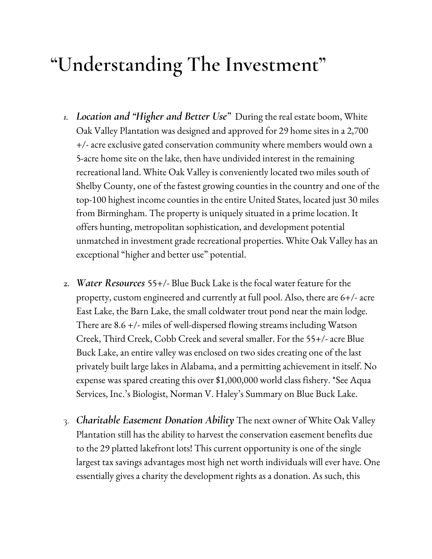## **"Understanding The Investment"**

- *1. Location and "Higher and Better Use"* During the real estate boom, White Oak Valley Plantation was designed and approved for 29 home sites in a 2,700 +/- acre exclusive gated conservation community where members would own a 5-acre home site on the lake, then have undivided interest in the remaining recreational land. White Oak Valley is conveniently located two miles south of Shelby County, one of the fastest growing counties in the country and one of the top-100 highest income counties in the entire United States, located just 30 miles from Birmingham. The property is uniquely situated in a prime location. It offers hunting, metropolitan sophistication, and development potential unmatched in investment grade recreational properties. White Oak Valley has an exceptional "higher and better use" potential.
- **2.** *Water Resources* 55+/- Blue Buck Lake is the focal water feature for the property, custom engineered and currently at full pool. Also, there are 6+/- acre East Lake, the Barn Lake, the small coldwater trout pond near the main lodge. There are 8.6 +/- miles of well-dispersed flowing streams including Watson Creek, Third Creek, Cobb Creek and several smaller. For the 55+/- acre Blue Buck Lake, an entire valley was enclosed on two sides creating one of the last privately built large lakes in Alabama, and a permitting achievement in itself. No expense was spared creating this over \$1,000,000 world class fishery. \*See Aqua Services, Inc.'s Biologist, Norman V. Haley's Summary on Blue Buck Lake.
- 3. *Charitable Easement Donation Ability* The next owner of White Oak Valley Plantation still has the ability to harvest the conservation easement benefits due to the 29 platted lakefront lots! This current opportunity is one of the single largest tax savings advantages most high net worth individuals will ever have. One essentially gives a charity the development rights as a donation. As such, this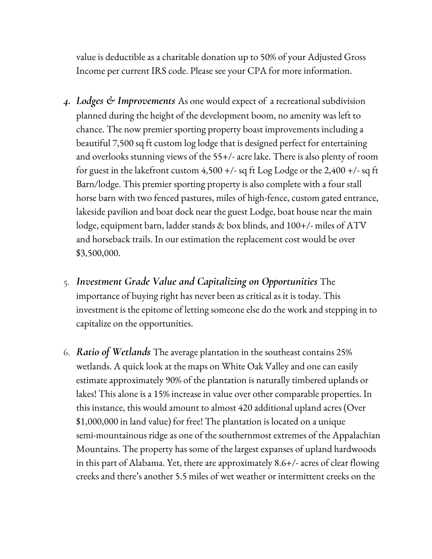value is deductible as a charitable donation up to 50% of your Adjusted Gross Income per current IRS code. Please see your CPA for more information.

- *4. Lodges & Improvements* As one would expect of a recreational subdivision planned during the height of the development boom, no amenity was left to chance. The now premier sporting property boast improvements including a beautiful 7,500 sq ft custom log lodge that is designed perfect for entertaining and overlooks stunning views of the 55+/- acre lake. There is also plenty of room for guest in the lakefront custom  $4,500 +/-$  sq ft Log Lodge or the 2,400  $+/-$  sq ft Barn/lodge. This premier sporting property is also complete with a four stall horse barn with two fenced pastures, miles of high-fence, custom gated entrance, lakeside pavilion and boat dock near the guest Lodge, boat house near the main lodge, equipment barn, ladder stands & box blinds, and 100+/- miles of ATV and horseback trails. In our estimation the replacement cost would be over \$3,500,000.
- 5. *Investment Grade Value and Capitalizing on Opportunities* The importance of buying right has never been as critical as it is today. This investment is the epitome of letting someone else do the work and stepping in to capitalize on the opportunities.
- 6. *Ratio of Wetlands* The average plantation in the southeast contains 25% wetlands. A quick look at the maps on White Oak Valley and one can easily estimate approximately 90% of the plantation is naturally timbered uplands or lakes! This alone is a 15% increase in value over other comparable properties. In this instance, this would amount to almost 420 additional upland acres (Over \$1,000,000 in land value) for free! The plantation is located on a unique semi-mountainous ridge as one of the southernmost extremes of the Appalachian Mountains. The property has some of the largest expanses of upland hardwoods in this part of Alabama. Yet, there are approximately 8.6+/- acres of clear flowing creeks and there's another 5.5 miles of wet weather or intermittent creeks on the